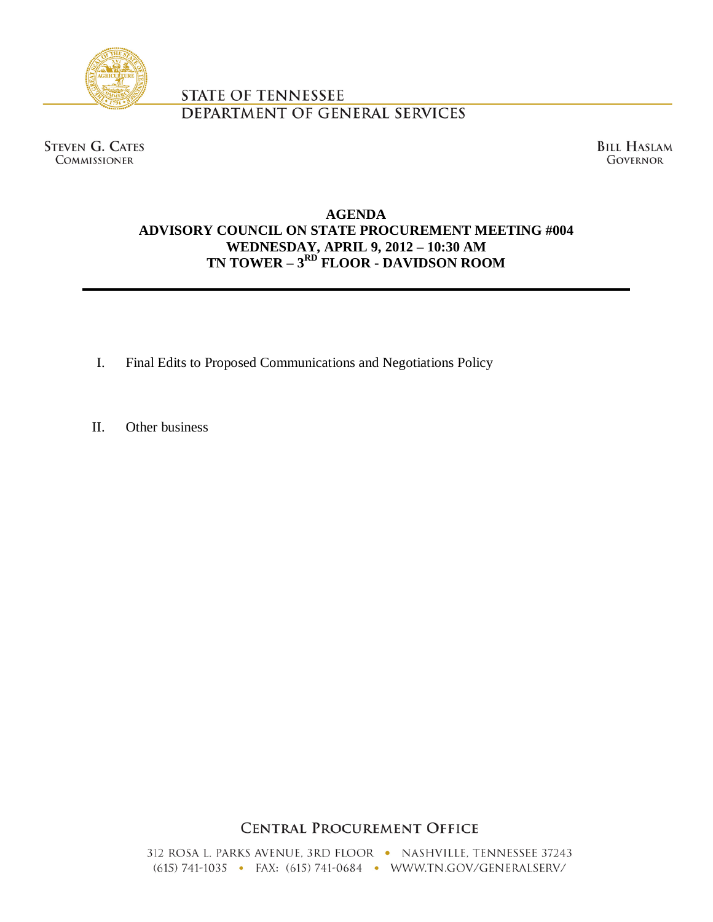

# **STATE OF TENNESSEE DEPARTMENT OF GENERAL SERVICES**

**STEVEN G. CATES COMMISSIONER** 

**BILL HASLAM GOVERNOR** 

## **AGENDA ADVISORY COUNCIL ON STATE PROCUREMENT MEETING #004 WEDNESDAY, APRIL 9, 2012 – 10:30 AM TN TOWER – 3RD FLOOR - DAVIDSON ROOM**

I. Final Edits to Proposed Communications and Negotiations Policy

II. Other business

## **CENTRAL PROCUREMENT OFFICE**

312 ROSA L. PARKS AVENUE, 3RD FLOOR • NASHVILLE, TENNESSEE 37243 (615) 741-1035 • FAX: (615) 741-0684 • WWW.TN.GOV/GENERALSERV/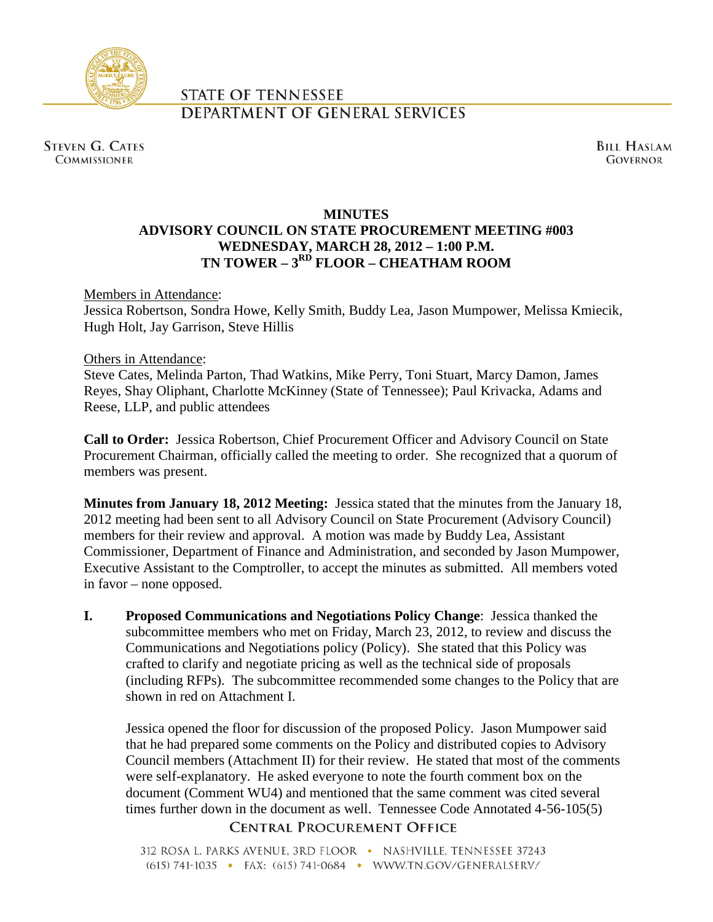

# **STATE OF TENNESSEE** DEPARTMENT OF GENERAL SERVICES

**STEVEN G. CATES COMMISSIONER** 

**BILL HASLAM GOVERNOR** 

## **MINUTES ADVISORY COUNCIL ON STATE PROCUREMENT MEETING #003 WEDNESDAY, MARCH 28, 2012 – 1:00 P.M. TN TOWER – 3RD FLOOR – CHEATHAM ROOM**

Members in Attendance:

Jessica Robertson, Sondra Howe, Kelly Smith, Buddy Lea, Jason Mumpower, Melissa Kmiecik, Hugh Holt, Jay Garrison, Steve Hillis

## Others in Attendance:

Steve Cates, Melinda Parton, Thad Watkins, Mike Perry, Toni Stuart, Marcy Damon, James Reyes, Shay Oliphant, Charlotte McKinney (State of Tennessee); Paul Krivacka, Adams and Reese, LLP, and public attendees

**Call to Order:** Jessica Robertson, Chief Procurement Officer and Advisory Council on State Procurement Chairman, officially called the meeting to order. She recognized that a quorum of members was present.

**Minutes from January 18, 2012 Meeting:** Jessica stated that the minutes from the January 18, 2012 meeting had been sent to all Advisory Council on State Procurement (Advisory Council) members for their review and approval. A motion was made by Buddy Lea, Assistant Commissioner, Department of Finance and Administration, and seconded by Jason Mumpower, Executive Assistant to the Comptroller, to accept the minutes as submitted. All members voted in favor – none opposed.

**I. Proposed Communications and Negotiations Policy Change**: Jessica thanked the subcommittee members who met on Friday, March 23, 2012, to review and discuss the Communications and Negotiations policy (Policy). She stated that this Policy was crafted to clarify and negotiate pricing as well as the technical side of proposals (including RFPs). The subcommittee recommended some changes to the Policy that are shown in red on Attachment I.

Jessica opened the floor for discussion of the proposed Policy. Jason Mumpower said that he had prepared some comments on the Policy and distributed copies to Advisory Council members (Attachment II) for their review. He stated that most of the comments were self-explanatory. He asked everyone to note the fourth comment box on the document (Comment WU4) and mentioned that the same comment was cited several times further down in the document as well. Tennessee Code Annotated 4-56-105(5)**CENTRAL PROCUREMENT OFFICE** 

312 ROSA L. PARKS AVENUE. 3RD FLOOR · NASHVILLE. TENNESSEE 37243 (615) 741-1035 · FAX: (615) 741-0684 · WWW.TN.GOV/GENERALSERV/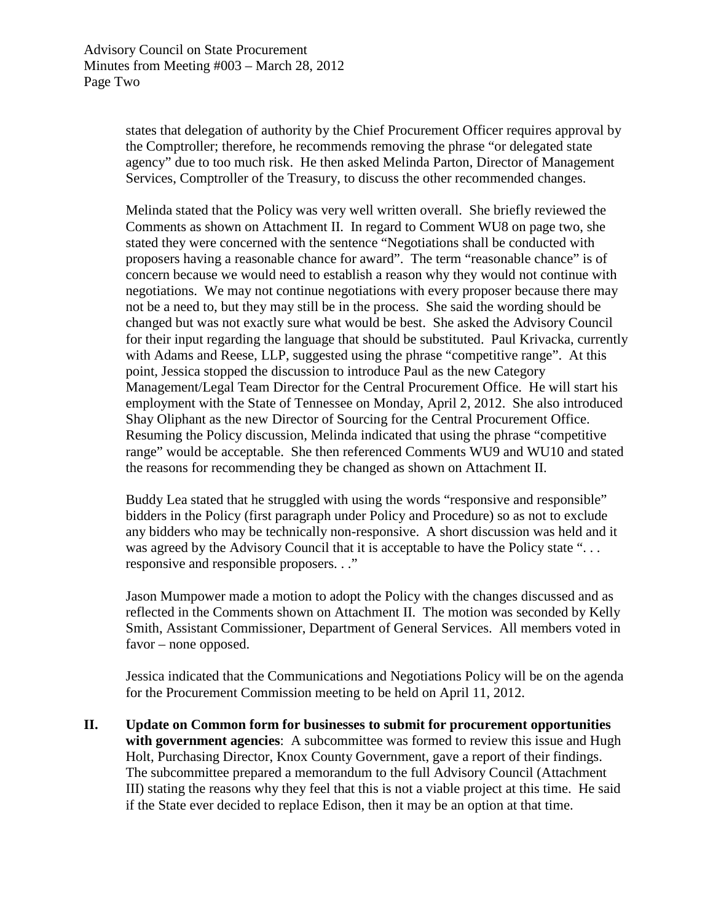states that delegation of authority by the Chief Procurement Officer requires approval by the Comptroller; therefore, he recommends removing the phrase "or delegated state agency" due to too much risk. He then asked Melinda Parton, Director of Management Services, Comptroller of the Treasury, to discuss the other recommended changes.

Melinda stated that the Policy was very well written overall. She briefly reviewed the Comments as shown on Attachment II. In regard to Comment WU8 on page two, she stated they were concerned with the sentence "Negotiations shall be conducted with proposers having a reasonable chance for award". The term "reasonable chance" is of concern because we would need to establish a reason why they would not continue with negotiations. We may not continue negotiations with every proposer because there may not be a need to, but they may still be in the process. She said the wording should be changed but was not exactly sure what would be best. She asked the Advisory Council for their input regarding the language that should be substituted. Paul Krivacka, currently with Adams and Reese, LLP, suggested using the phrase "competitive range". At this point, Jessica stopped the discussion to introduce Paul as the new Category Management/Legal Team Director for the Central Procurement Office. He will start his employment with the State of Tennessee on Monday, April 2, 2012. She also introduced Shay Oliphant as the new Director of Sourcing for the Central Procurement Office. Resuming the Policy discussion, Melinda indicated that using the phrase "competitive range" would be acceptable. She then referenced Comments WU9 and WU10 and stated the reasons for recommending they be changed as shown on Attachment II.

Buddy Lea stated that he struggled with using the words "responsive and responsible" bidders in the Policy (first paragraph under Policy and Procedure) so as not to exclude any bidders who may be technically non-responsive. A short discussion was held and it was agreed by the Advisory Council that it is acceptable to have the Policy state "... responsive and responsible proposers. . ."

Jason Mumpower made a motion to adopt the Policy with the changes discussed and as reflected in the Comments shown on Attachment II. The motion was seconded by Kelly Smith, Assistant Commissioner, Department of General Services. All members voted in favor – none opposed.

Jessica indicated that the Communications and Negotiations Policy will be on the agenda for the Procurement Commission meeting to be held on April 11, 2012.

**II. Update on Common form for businesses to submit for procurement opportunities with government agencies**: A subcommittee was formed to review this issue and Hugh Holt, Purchasing Director, Knox County Government, gave a report of their findings. The subcommittee prepared a memorandum to the full Advisory Council (Attachment III) stating the reasons why they feel that this is not a viable project at this time. He said if the State ever decided to replace Edison, then it may be an option at that time.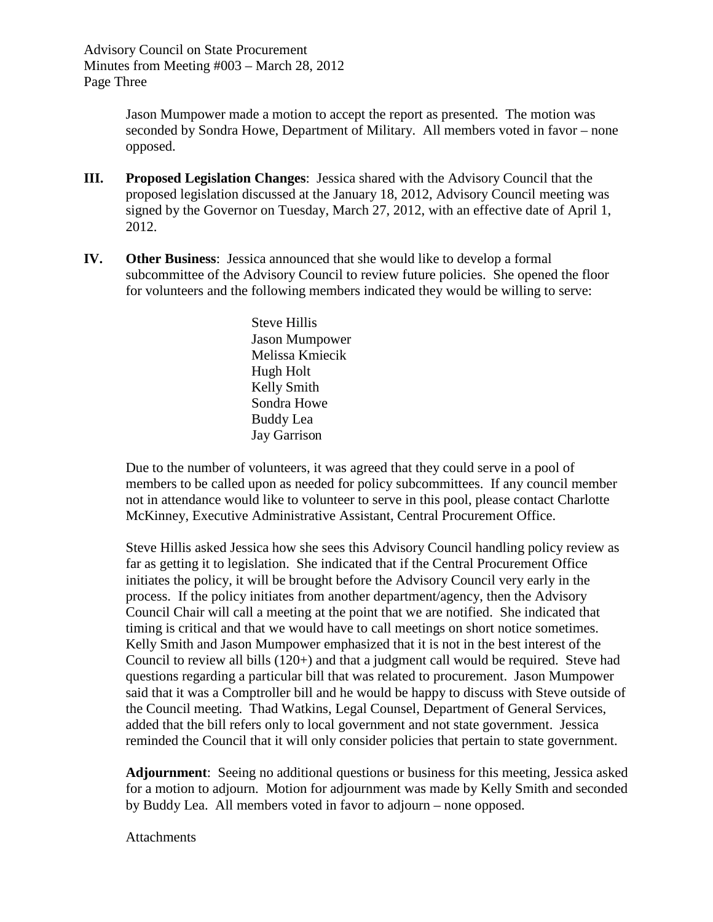Advisory Council on State Procurement Minutes from Meeting #003 – March 28, 2012 Page Three

> Jason Mumpower made a motion to accept the report as presented. The motion was seconded by Sondra Howe, Department of Military. All members voted in favor – none opposed.

- **III. Proposed Legislation Changes**: Jessica shared with the Advisory Council that the proposed legislation discussed at the January 18, 2012, Advisory Council meeting was signed by the Governor on Tuesday, March 27, 2012, with an effective date of April 1, 2012.
- **IV. Other Business**: Jessica announced that she would like to develop a formal subcommittee of the Advisory Council to review future policies. She opened the floor for volunteers and the following members indicated they would be willing to serve:

Steve Hillis Jason Mumpower Melissa Kmiecik Hugh Holt Kelly Smith Sondra Howe Buddy Lea Jay Garrison

Due to the number of volunteers, it was agreed that they could serve in a pool of members to be called upon as needed for policy subcommittees. If any council member not in attendance would like to volunteer to serve in this pool, please contact Charlotte McKinney, Executive Administrative Assistant, Central Procurement Office.

Steve Hillis asked Jessica how she sees this Advisory Council handling policy review as far as getting it to legislation. She indicated that if the Central Procurement Office initiates the policy, it will be brought before the Advisory Council very early in the process. If the policy initiates from another department/agency, then the Advisory Council Chair will call a meeting at the point that we are notified. She indicated that timing is critical and that we would have to call meetings on short notice sometimes. Kelly Smith and Jason Mumpower emphasized that it is not in the best interest of the Council to review all bills (120+) and that a judgment call would be required. Steve had questions regarding a particular bill that was related to procurement. Jason Mumpower said that it was a Comptroller bill and he would be happy to discuss with Steve outside of the Council meeting. Thad Watkins, Legal Counsel, Department of General Services, added that the bill refers only to local government and not state government. Jessica reminded the Council that it will only consider policies that pertain to state government.

**Adjournment**: Seeing no additional questions or business for this meeting, Jessica asked for a motion to adjourn. Motion for adjournment was made by Kelly Smith and seconded by Buddy Lea. All members voted in favor to adjourn – none opposed.

**Attachments**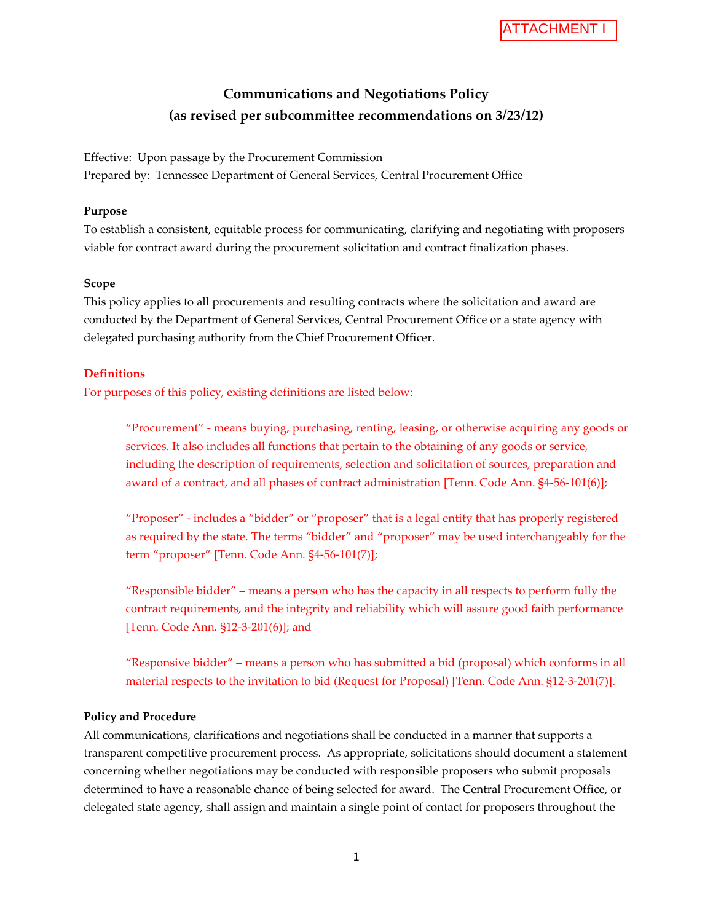# **Communications and Negotiations Policy (as revised per subcommittee recommendations on 3/23/12)**

Effective: Upon passage by the Procurement Commission Prepared by: Tennessee Department of General Services, Central Procurement Office

### **Purpose**

To establish a consistent, equitable process for communicating, clarifying and negotiating with proposers viable for contract award during the procurement solicitation and contract finalization phases.

### **Scope**

This policy applies to all procurements and resulting contracts where the solicitation and award are conducted by the Department of General Services, Central Procurement Office or a state agency with delegated purchasing authority from the Chief Procurement Officer.

### **Definitions**

For purposes of this policy, existing definitions are listed below:

"Procurement" - means buying, purchasing, renting, leasing, or otherwise acquiring any goods or services. It also includes all functions that pertain to the obtaining of any goods or service, including the description of requirements, selection and solicitation of sources, preparation and award of a contract, and all phases of contract administration [Tenn. Code Ann. §4-56-101(6)];

"Proposer" - includes a "bidder" or "proposer" that is a legal entity that has properly registered as required by the state. The terms "bidder" and "proposer" may be used interchangeably for the term "proposer" [Tenn. Code Ann. §4-56-101(7)];

"Responsible bidder" – means a person who has the capacity in all respects to perform fully the contract requirements, and the integrity and reliability which will assure good faith performance [Tenn. Code Ann. §12-3-201(6)]; and

"Responsive bidder" – means a person who has submitted a bid (proposal) which conforms in all material respects to the invitation to bid (Request for Proposal) [Tenn. Code Ann. §12-3-201(7)].

### **Policy and Procedure**

All communications, clarifications and negotiations shall be conducted in a manner that supports a transparent competitive procurement process. As appropriate, solicitations should document a statement concerning whether negotiations may be conducted with responsible proposers who submit proposals determined to have a reasonable chance of being selected for award. The Central Procurement Office, or delegated state agency, shall assign and maintain a single point of contact for proposers throughout the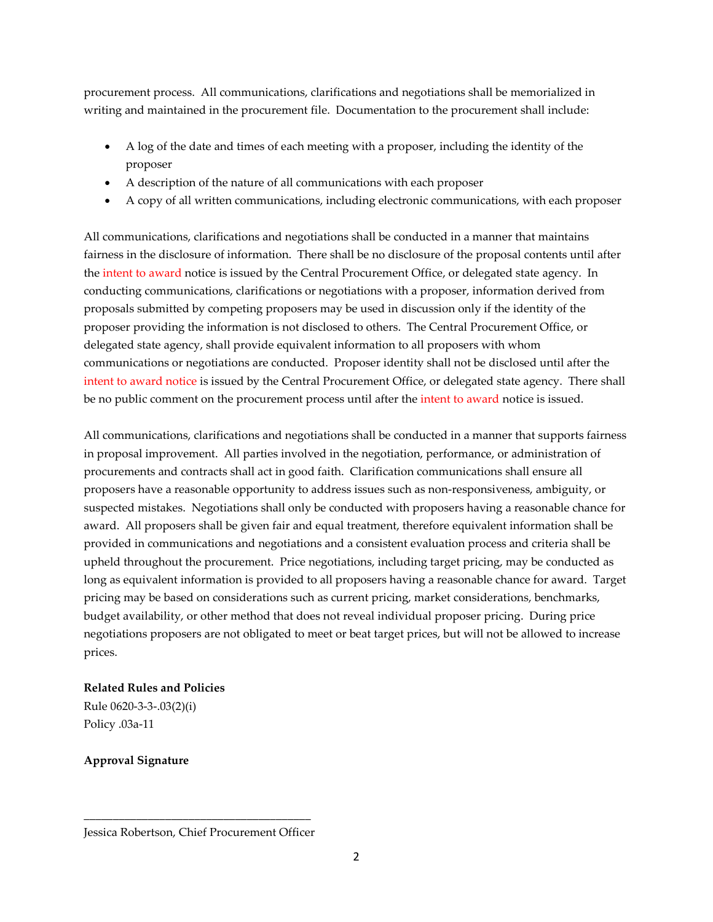procurement process. All communications, clarifications and negotiations shall be memorialized in writing and maintained in the procurement file. Documentation to the procurement shall include:

- A log of the date and times of each meeting with a proposer, including the identity of the proposer
- A description of the nature of all communications with each proposer
- A copy of all written communications, including electronic communications, with each proposer

All communications, clarifications and negotiations shall be conducted in a manner that maintains fairness in the disclosure of information. There shall be no disclosure of the proposal contents until after the intent to award notice is issued by the Central Procurement Office, or delegated state agency. In conducting communications, clarifications or negotiations with a proposer, information derived from proposals submitted by competing proposers may be used in discussion only if the identity of the proposer providing the information is not disclosed to others. The Central Procurement Office, or delegated state agency, shall provide equivalent information to all proposers with whom communications or negotiations are conducted. Proposer identity shall not be disclosed until after the intent to award notice is issued by the Central Procurement Office, or delegated state agency. There shall be no public comment on the procurement process until after the intent to award notice is issued.

All communications, clarifications and negotiations shall be conducted in a manner that supports fairness in proposal improvement. All parties involved in the negotiation, performance, or administration of procurements and contracts shall act in good faith. Clarification communications shall ensure all proposers have a reasonable opportunity to address issues such as non-responsiveness, ambiguity, or suspected mistakes. Negotiations shall only be conducted with proposers having a reasonable chance for award. All proposers shall be given fair and equal treatment, therefore equivalent information shall be provided in communications and negotiations and a consistent evaluation process and criteria shall be upheld throughout the procurement. Price negotiations, including target pricing, may be conducted as long as equivalent information is provided to all proposers having a reasonable chance for award. Target pricing may be based on considerations such as current pricing, market considerations, benchmarks, budget availability, or other method that does not reveal individual proposer pricing. During price negotiations proposers are not obligated to meet or beat target prices, but will not be allowed to increase prices.

### **Related Rules and Policies**

Rule 0620-3-3-.03(2)(i) Policy .03a-11

**Approval Signature**

\_\_\_\_\_\_\_\_\_\_\_\_\_\_\_\_\_\_\_\_\_\_\_\_\_\_\_\_\_\_\_\_\_\_\_\_\_\_\_ Jessica Robertson, Chief Procurement Officer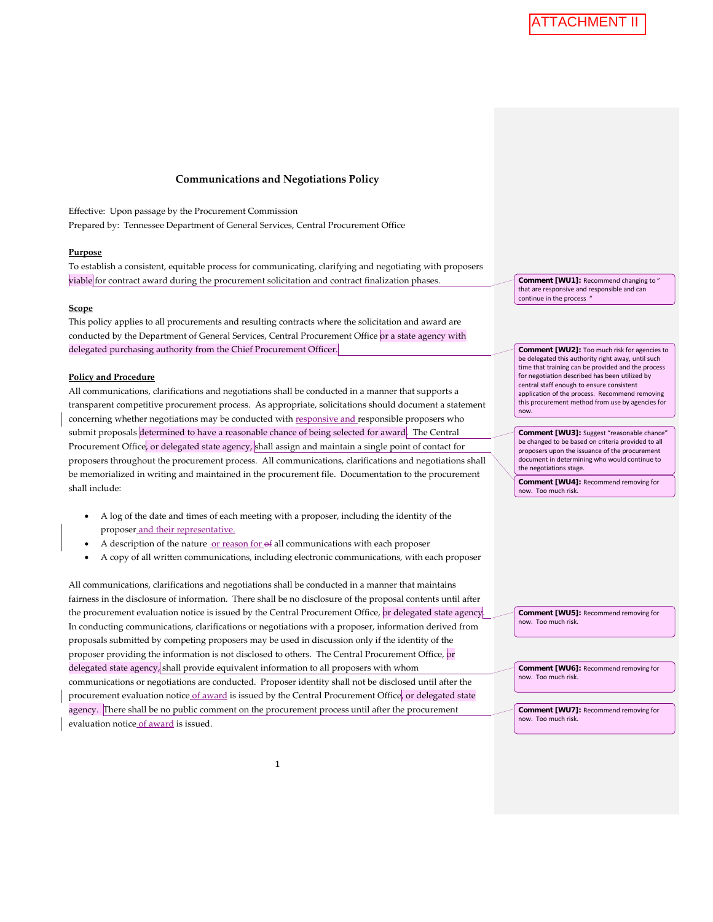#### **Communications and Negotiations Policy**

Effective: Upon passage by the Procurement Commission Prepared by: Tennessee Department of General Services, Central Procurement Office

#### **Purpose**

To establish a consistent, equitable process for communicating, clarifying and negotiating with proposers viable for contract award during the procurement solicitation and contract finalization phases.

#### **Scope**

This policy applies to all procurements and resulting contracts where the solicitation and award are conducted by the Department of General Services, Central Procurement Office or a state agency with delegated purchasing authority from the Chief Procurement Officer.

#### **Policy and Procedure**

All communications, clarifications and negotiations shall be conducted in a manner that supports a transparent competitive procurement process. As appropriate, solicitations should document a statement concerning whether negotiations may be conducted with responsive and responsible proposers who submit proposals determined to have a reasonable chance of being selected for award. The Central Procurement Office, or delegated state agency, shall assign and maintain a single point of contact for proposers throughout the procurement process. All communications, clarifications and negotiations shall be memorialized in writing and maintained in the procurement file. Documentation to the procurement shall include:

- A log of the date and times of each meeting with a proposer, including the identity of the proposer and their representative.
- A description of the nature or reason for  $\Theta$ f all communications with each proposer
- A copy of all written communications, including electronic communications, with each proposer

All communications, clarifications and negotiations shall be conducted in a manner that maintains fairness in the disclosure of information. There shall be no disclosure of the proposal contents until after the procurement evaluation notice is issued by the Central Procurement Office, or delegated state agency. In conducting communications, clarifications or negotiations with a proposer, information derived from proposals submitted by competing proposers may be used in discussion only if the identity of the proposer providing the information is not disclosed to others. The Central Procurement Office, or delegated state agency, shall provide equivalent information to all proposers with whom communications or negotiations are conducted. Proposer identity shall not be disclosed until after the procurement evaluation notice of award is issued by the Central Procurement Office, or delegated state agency. There shall be no public comment on the procurement process until after the procurement evaluation notice of award is issued.

**Comment [WU1]:** Recommend changing to that are responsive and responsible and can continue in the process "

**Comment [WU2]:** Too much risk for agencies to be delegated this authority right away, until such time that training can be provided and the process for negotiation described has been utilized by central staff enough to ensure consistent application of the process. Recommend removing this procurement method from use by agencies for now.

**Comment [WU3]:** Suggest "reasonable chance" be changed to be based on criteria provided to all proposers upon the issuance of the procurement document in determining who would continue to the negotiations stage.

**Comment [WU4]:** Recommend removing for now. Too much risk.

**Comment [WU5]:** Recommend removing for now. Too much risk.

**Comment [WU6]:** Recommend removing for now. Too much risk.

**Comment [WU7]:** Recommend removing for now. Too much risk.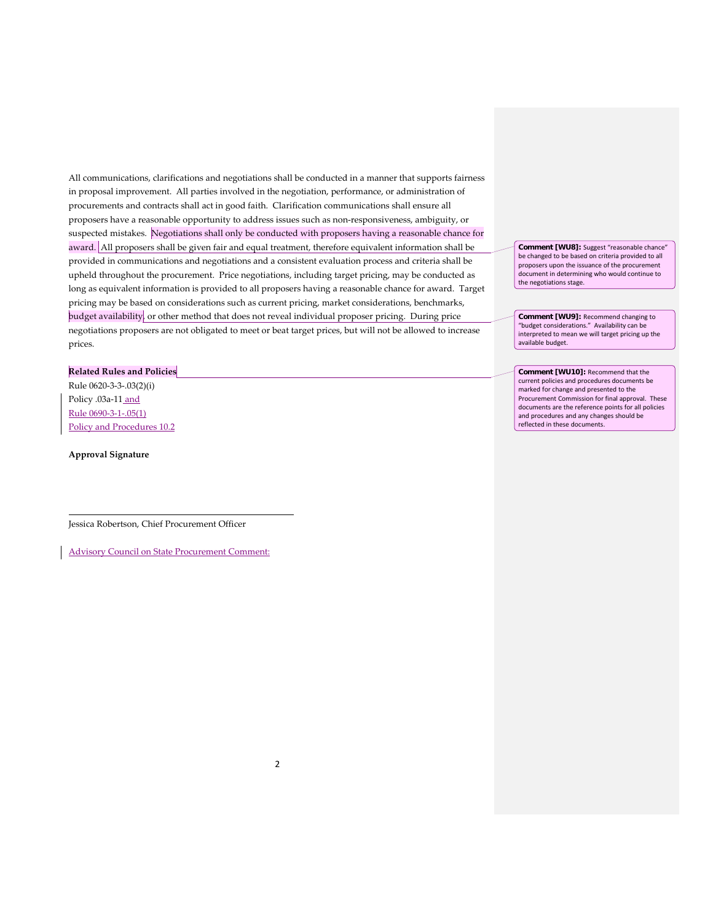All communications, clarifications and negotiations shall be conducted in a manner that supports fairness in proposal improvement. All parties involved in the negotiation, performance, or administration of procurements and contracts shall act in good faith. Clarification communications shall ensure all proposers have a reasonable opportunity to address issues such as non-responsiveness, ambiguity, or suspected mistakes. Negotiations shall only be conducted with proposers having a reasonable chance for award. All proposers shall be given fair and equal treatment, therefore equivalent information shall be provided in communications and negotiations and a consistent evaluation process and criteria shall be upheld throughout the procurement. Price negotiations, including target pricing, may be conducted as long as equivalent information is provided to all proposers having a reasonable chance for award. Target pricing may be based on considerations such as current pricing, market considerations, benchmarks, budget availability, or other method that does not reveal individual proposer pricing. During price negotiations proposers are not obligated to meet or beat target prices, but will not be allowed to increase prices.

#### **Related Rules and Policies**

Rule 0620-3-3-.03(2)(i) Policy .03a-11 and Rule 0690-3-1-.05(1) Policy and Procedures 10.2

**Approval Signature**

Jessica Robertson, Chief Procurement Officer

Advisory Council on State Procurement Comment:

**Comment [WU8]:** Suggest "reasonable chance" be changed to be based on criteria provided to all proposers upon the issuance of the procurement document in determining who would continue to the negotiations stage.

**Comment [WU9]:** Recommend changing to "budget considerations." Availability can be interpreted to mean we will target pricing up the available budget.

**Comment [WU10]:** Recommend that the current policies and procedures documents be marked for change and presented to the Procurement Commission for final approval. These documents are the reference points for all policies and procedures and any changes should be reflected in these documents.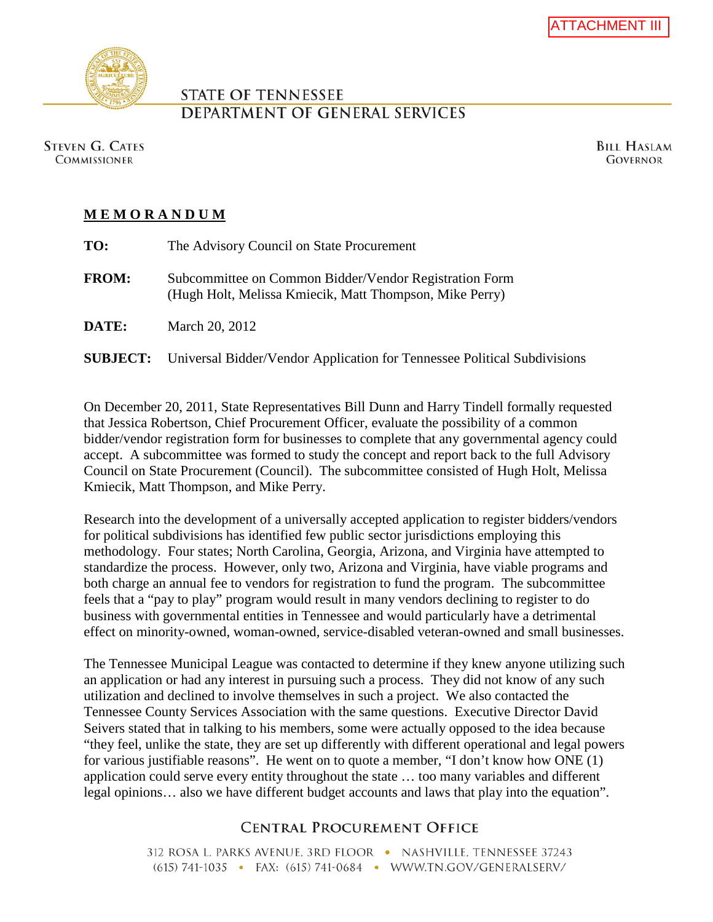

# **STATE OF TENNESSEE** DEPARTMENT OF GENERAL SERVICES

**STEVEN G. CATES COMMISSIONER** 

**BILL HASLAM GOVERNOR** 

# **M E M O R A N D U M**

| TO:          | The Advisory Council on State Procurement                                                                         |
|--------------|-------------------------------------------------------------------------------------------------------------------|
| <b>FROM:</b> | Subcommittee on Common Bidder/Vendor Registration Form<br>(Hugh Holt, Melissa Kmiecik, Matt Thompson, Mike Perry) |
| DATE:        | March 20, 2012                                                                                                    |
|              | <b>SUBJECT:</b> Universal Bidder/Vendor Application for Tennessee Political Subdivisions                          |

On December 20, 2011, State Representatives Bill Dunn and Harry Tindell formally requested that Jessica Robertson, Chief Procurement Officer, evaluate the possibility of a common bidder/vendor registration form for businesses to complete that any governmental agency could accept. A subcommittee was formed to study the concept and report back to the full Advisory Council on State Procurement (Council). The subcommittee consisted of Hugh Holt, Melissa Kmiecik, Matt Thompson, and Mike Perry.

Research into the development of a universally accepted application to register bidders/vendors for political subdivisions has identified few public sector jurisdictions employing this methodology. Four states; North Carolina, Georgia, Arizona, and Virginia have attempted to standardize the process. However, only two, Arizona and Virginia, have viable programs and both charge an annual fee to vendors for registration to fund the program. The subcommittee feels that a "pay to play" program would result in many vendors declining to register to do business with governmental entities in Tennessee and would particularly have a detrimental effect on minority-owned, woman-owned, service-disabled veteran-owned and small businesses.

The Tennessee Municipal League was contacted to determine if they knew anyone utilizing such an application or had any interest in pursuing such a process. They did not know of any such utilization and declined to involve themselves in such a project. We also contacted the Tennessee County Services Association with the same questions. Executive Director David Seivers stated that in talking to his members, some were actually opposed to the idea because "they feel, unlike the state, they are set up differently with different operational and legal powers for various justifiable reasons". He went on to quote a member, "I don't know how ONE (1) application could serve every entity throughout the state … too many variables and different legal opinions… also we have different budget accounts and laws that play into the equation".

# **CENTRAL PROCUREMENT OFFICE**

312 ROSA L. PARKS AVENUE. 3RD FLOOR · NASHVILLE. TENNESSEE 37243 (615) 741-1035 • FAX: (615) 741-0684 • WWW.TN.GOV/GENERALSERV/